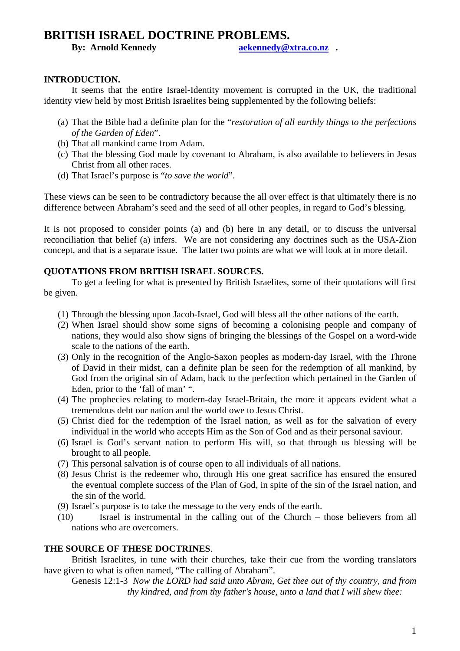# **BRITISH ISRAEL DOCTRINE PROBLEMS.**<br>By: Arnold Kennedy **Brace Acts** as *Referredy* @

**aekennedy@xtra.co.nz** .

# **INTRODUCTION.**

 It seems that the entire Israel-Identity movement is corrupted in the UK, the traditional identity view held by most British Israelites being supplemented by the following beliefs:

- (a) That the Bible had a definite plan for the "*restoration of all earthly things to the perfections of the Garden of Eden*".
- (b) That all mankind came from Adam.
- (c) That the blessing God made by covenant to Abraham, is also available to believers in Jesus Christ from all other races.
- (d) That Israel's purpose is "*to save the world*".

These views can be seen to be contradictory because the all over effect is that ultimately there is no difference between Abraham's seed and the seed of all other peoples, in regard to God's blessing.

It is not proposed to consider points (a) and (b) here in any detail, or to discuss the universal reconciliation that belief (a) infers. We are not considering any doctrines such as the USA-Zion concept, and that is a separate issue. The latter two points are what we will look at in more detail.

# **QUOTATIONS FROM BRITISH ISRAEL SOURCES.**

 To get a feeling for what is presented by British Israelites, some of their quotations will first be given.

- (1) Through the blessing upon Jacob-Israel, God will bless all the other nations of the earth.
- (2) When Israel should show some signs of becoming a colonising people and company of nations, they would also show signs of bringing the blessings of the Gospel on a word-wide scale to the nations of the earth.
- (3) Only in the recognition of the Anglo-Saxon peoples as modern-day Israel, with the Throne of David in their midst, can a definite plan be seen for the redemption of all mankind, by God from the original sin of Adam, back to the perfection which pertained in the Garden of Eden, prior to the 'fall of man' ".
- (4) The prophecies relating to modern-day Israel-Britain, the more it appears evident what a tremendous debt our nation and the world owe to Jesus Christ.
- (5) Christ died for the redemption of the Israel nation, as well as for the salvation of every individual in the world who accepts Him as the Son of God and as their personal saviour.
- (6) Israel is God's servant nation to perform His will, so that through us blessing will be brought to all people.
- (7) This personal salvation is of course open to all individuals of all nations.
- (8) Jesus Christ is the redeemer who, through His one great sacrifice has ensured the ensured the eventual complete success of the Plan of God, in spite of the sin of the Israel nation, and the sin of the world.
- (9) Israel's purpose is to take the message to the very ends of the earth.
- (10) Israel is instrumental in the calling out of the Church those believers from all nations who are overcomers.

# **THE SOURCE OF THESE DOCTRINES**.

British Israelites, in tune with their churches, take their cue from the wording translators have given to what is often named, "The calling of Abraham".

Genesis 12:1-3 *Now the LORD had said unto Abram, Get thee out of thy country, and from thy kindred, and from thy father's house, unto a land that I will shew thee:*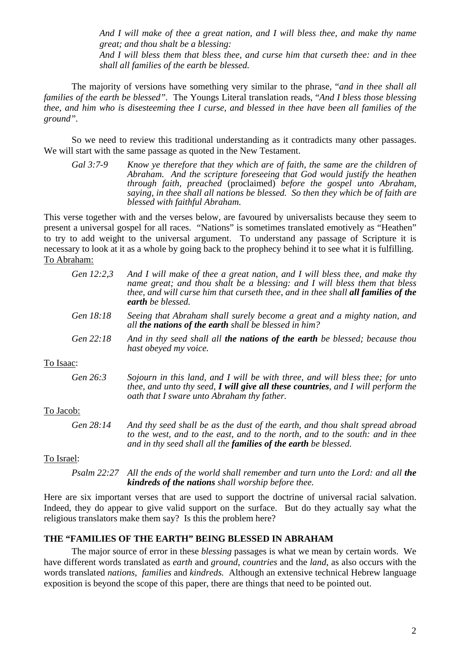*And I will make of thee a great nation, and I will bless thee, and make thy name great; and thou shalt be a blessing: And I will bless them that bless thee, and curse him that curseth thee: and in thee shall all families of the earth be blessed.*

 The majority of versions have something very similar to the phrase, "*and in thee shall all families of the earth be blessed".* The Youngs Literal translation reads, "*And I bless those blessing thee, and him who is disesteeming thee I curse, and blessed in thee have been all families of the ground".*

 So we need to review this traditional understanding as it contradicts many other passages. We will start with the same passage as quoted in the New Testament.

*Gal 3:7-9 Know ye therefore that they which are of faith, the same are the children of Abraham. And the scripture foreseeing that God would justify the heathen through faith, preached* (proclaimed) *before the gospel unto Abraham, saying, in thee shall all nations be blessed. So then they which be of faith are blessed with faithful Abraham.* 

This verse together with and the verses below, are favoured by universalists because they seem to present a universal gospel for all races. "Nations" is sometimes translated emotively as "Heathen" to try to add weight to the universal argument. To understand any passage of Scripture it is necessary to look at it as a whole by going back to the prophecy behind it to see what it is fulfilling. To Abraham:

| Gen 12:2,3 | And I will make of thee a great nation, and I will bless thee, and make thy<br>name great; and thou shalt be a blessing: and I will bless them that bless<br>thee, and will curse him that curseth thee, and in thee shall <b>all families of the</b><br><b>earth</b> be blessed. |
|------------|-----------------------------------------------------------------------------------------------------------------------------------------------------------------------------------------------------------------------------------------------------------------------------------|
| Gen 18:18  | Seeing that Abraham shall surely become a great and a mighty nation, and<br>all <b>the nations of the earth</b> shall be blessed in him?                                                                                                                                          |
| Gen 22:18  | And in thy seed shall all the nations of the earth be blessed; because thou<br>hast obeyed my voice.                                                                                                                                                                              |
| To Isaac:  |                                                                                                                                                                                                                                                                                   |
| Gen 26:3   | Sojourn in this land, and I will be with three, and will bless thee; for unto<br>thee, and unto thy seed, I will give all these countries, and I will perform the<br>oath that I sware unto Abraham thy father.                                                                   |
| To Jacob:  |                                                                                                                                                                                                                                                                                   |
| Gen 28:14  | And thy seed shall be as the dust of the earth, and thou shalt spread abroad<br>to the west, and to the east, and to the north, and to the south: and in thee                                                                                                                     |

#### To Israel:

*Psalm 22:27* All the ends of the world shall remember and turn unto the Lord: and all the *kindreds of the nations shall worship before thee.* 

*and in thy seed shall all the families of the earth be blessed.* 

Here are six important verses that are used to support the doctrine of universal racial salvation. Indeed, they do appear to give valid support on the surface. But do they actually say what the religious translators make them say? Is this the problem here?

# **THE "FAMILIES OF THE EARTH" BEING BLESSED IN ABRAHAM**

The major source of error in these *blessing* passages is what we mean by certain words. We have different words translated as *earth* and *ground*, *countries* and the *land*, as also occurs with the words translated *nations*, *families* and *kindreds.* Although an extensive technical Hebrew language exposition is beyond the scope of this paper, there are things that need to be pointed out.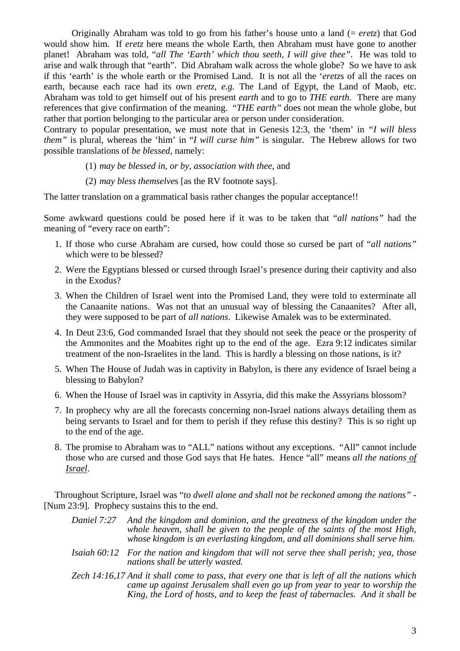Originally Abraham was told to go from his father's house unto a land (= *eretz*) that God would show him. If *eretz* here means the whole Earth, then Abraham must have gone to another planet! Abraham was told, "*all The 'Earth' which thou seeth, I will give thee"*. He was told to arise and walk through that "earth". Did Abraham walk across the whole globe? So we have to ask if this 'earth' is the whole earth or the Promised Land. It is not all the '*eretz*s of all the races on earth, because each race had its own *eretz, e.g.* The Land of Egypt, the Land of Maob, etc. Abraham was told to get himself out of his present *earth* and to go to *THE earth*. There are many references that give confirmation of the meaning. "*THE earth"* does not mean the whole globe, but rather that portion belonging to the particular area or person under consideration.

Contrary to popular presentation, we must note that in Genesis 12:3, the 'them' in *"I will bless them"* is plural, whereas the 'him' in "*I will curse him"* is singular. The Hebrew allows for two possible translations of *be blessed*, namely:

- (1) *may be blessed in, or by, association with thee,* and
- (2) *may bless themselve*s [as the RV footnote says].

The latter translation on a grammatical basis rather changes the popular acceptance!!

Some awkward questions could be posed here if it was to be taken that "*all nations"* had the meaning of "every race on earth":

- 1. If those who curse Abraham are cursed, how could those so cursed be part of "*all nations"* which were to be blessed?
- 2. Were the Egyptians blessed or cursed through Israel's presence during their captivity and also in the Exodus?
- 3. When the Children of Israel went into the Promised Land, they were told to exterminate all the Canaanite nations. Was not that an unusual way of blessing the Canaanites? After all, they were supposed to be part of *all nations*. Likewise Amalek was to be exterminated.
- 4. In Deut 23:6, God commanded Israel that they should not seek the peace or the prosperity of the Ammonites and the Moabites right up to the end of the age. Ezra 9:12 indicates similar treatment of the non-Israelites in the land. This is hardly a blessing on those nations, is it?
- 5. When The House of Judah was in captivity in Babylon, is there any evidence of Israel being a blessing to Babylon?
- 6. When the House of Israel was in captivity in Assyria, did this make the Assyrians blossom?
- 7. In prophecy why are all the forecasts concerning non-Israel nations always detailing them as being servants to Israel and for them to perish if they refuse this destiny? This is so right up to the end of the age.
- 8. The promise to Abraham was to "ALL" nations without any exceptions. "All" cannot include those who are cursed and those God says that He hates. Hence "all" means *all the nations of Israel*.

Throughout Scripture, Israel was "*to dwell alone and shall not be reckoned among the nations"* - [Num 23:9]. Prophecy sustains this to the end.

- *Daniel 7:27 And the kingdom and dominion, and the greatness of the kingdom under the whole heaven, shall be given to the people of the saints of the most High, whose kingdom is an everlasting kingdom, and all dominions shall serve him.*
- *Isaiah 60:12 For the nation and kingdom that will not serve thee shall perish; yea, those nations shall be utterly wasted.*
- *Zech 14:16,17 And it shall come to pass, that every one that is left of all the nations which came up against Jerusalem shall even go up from year to year to worship the King, the Lord of hosts, and to keep the feast of tabernacles. And it shall be*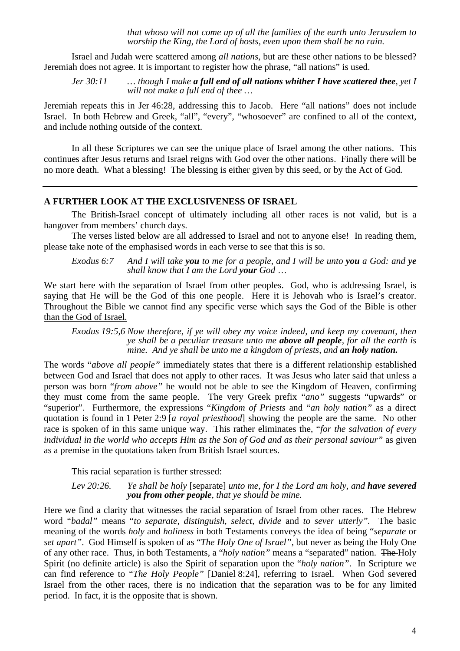*that whoso will not come up of all the families of the earth unto Jerusalem to worship the King, the Lord of hosts, even upon them shall be no rain.* 

Israel and Judah were scattered among *all nations*, but are these other nations to be blessed? Jeremiah does not agree. It is important to register how the phrase, "all nations" is used.

#### *Jer 30:11 … though I make a full end of all nations whither I have scattered thee, yet I will not make a full end of thee …*

Jeremiah repeats this in Jer 46:28, addressing this to Jacob. Here "all nations" does not include Israel. In both Hebrew and Greek, "all", "every", "whosoever" are confined to all of the context, and include nothing outside of the context.

In all these Scriptures we can see the unique place of Israel among the other nations. This continues after Jesus returns and Israel reigns with God over the other nations. Finally there will be no more death. What a blessing! The blessing is either given by this seed, or by the Act of God.

# **A FURTHER LOOK AT THE EXCLUSIVENESS OF ISRAEL**

The British-Israel concept of ultimately including all other races is not valid, but is a hangover from members' church days.

The verses listed below are all addressed to Israel and not to anyone else! In reading them, please take note of the emphasised words in each verse to see that this is so.

*Exodus 6:7 And I will take you to me for a people, and I will be unto you a God: and ye shall know that I am the Lord your God* …

We start here with the separation of Israel from other peoples. God, who is addressing Israel, is saying that He will be the God of this one people. Here it is Jehovah who is Israel's creator. Throughout the Bible we cannot find any specific verse which says the God of the Bible is other than the God of Israel.

*Exodus 19:5,6 Now therefore, if ye will obey my voice indeed, and keep my covenant, then ye shall be a peculiar treasure unto me above all people, for all the earth is mine. And ye shall be unto me a kingdom of priests, and an holy nation.*

The words "*above all people"* immediately states that there is a different relationship established between God and Israel that does not apply to other races. It was Jesus who later said that unless a person was born "*from above"* he would not be able to see the Kingdom of Heaven, confirming they must come from the same people. The very Greek prefix "*ano"* suggests "upwards" or "superior". Furthermore, the expressions "*Kingdom of Priests* and "*an holy nation"* as a direct quotation is found in 1 Peter 2:9 [*a royal priesthood*] showing the people are the same. No other race is spoken of in this same unique way. This rather eliminates the, "*for the salvation of every individual in the world who accepts Him as the Son of God and as their personal saviour"* as given as a premise in the quotations taken from British Israel sources.

This racial separation is further stressed:

#### *Lev 20:26. Ye shall be holy* [separate] *unto me, for I the Lord am holy, and have severed you from other people, that ye should be mine.*

Here we find a clarity that witnesses the racial separation of Israel from other races. The Hebrew word "*badal"* means "*to separate, distinguish, select, divide* and *to sever utterly".* The basic meaning of the words *holy* and *holiness* in both Testaments conveys the idea of being "*separate* or *set apart"*. God Himself is spoken of as "*The Holy One of Israel",* but never as being the Holy One of any other race. Thus, in both Testaments, a "*holy nation"* means a "separated" nation. The Holy Spirit (no definite article) is also the Spirit of separation upon the "*holy nation"*. In Scripture we can find reference to "*The Holy People"* [Daniel 8:24], referring to Israel. When God severed Israel from the other races, there is no indication that the separation was to be for any limited period. In fact, it is the opposite that is shown.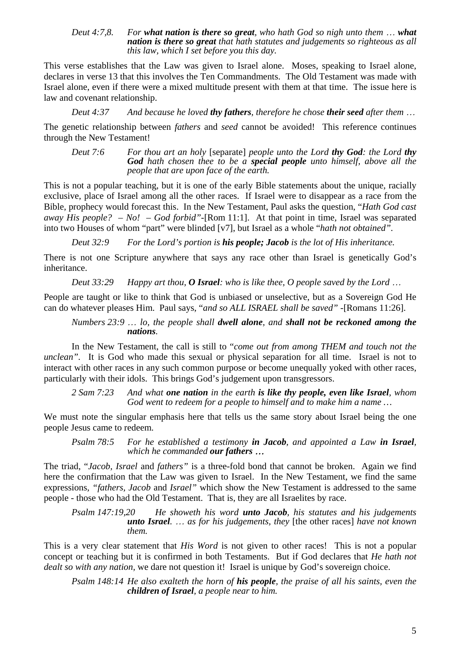#### *Deut 4:7,8. For what nation is there so great, who hath God so nigh unto them* … *what nation is there so great that hath statutes and judgements so righteous as all this law, which I set before you this day.*

This verse establishes that the Law was given to Israel alone. Moses, speaking to Israel alone, declares in verse 13 that this involves the Ten Commandments. The Old Testament was made with Israel alone, even if there were a mixed multitude present with them at that time. The issue here is law and covenant relationship.

*Deut 4:37 And because he loved thy fathers, therefore he chose their seed after them* …

The genetic relationship between *fathers* and *seed* cannot be avoided! This reference continues through the New Testament!

*Deut 7:6 For thou art an holy* [separate] *people unto the Lord thy God: the Lord thy God hath chosen thee to be a special people unto himself, above all the people that are upon face of the earth.* 

This is not a popular teaching, but it is one of the early Bible statements about the unique, racially exclusive, place of Israel among all the other races. If Israel were to disappear as a race from the Bible, prophecy would forecast this. In the New Testament, Paul asks the question, "*Hath God cast away His people? – No! – God forbid"-*[Rom 11:1]. At that point in time, Israel was separated into two Houses of whom "part" were blinded [v7], but Israel as a whole "*hath not obtained".* 

*Deut 32:9 For the Lord's portion is his people; Jacob is the lot of His inheritance.* 

There is not one Scripture anywhere that says any race other than Israel is genetically God's inheritance.

*Deut 33:29 Happy art thou, O Israel: who is like thee, O people saved by the Lord* …

People are taught or like to think that God is unbiased or unselective, but as a Sovereign God He can do whatever pleases Him. Paul says, "*and so ALL ISRAEL shall be saved" -*[Romans 11:26].

# *Numbers 23:9* … *lo, the people shall dwell alone, and shall not be reckoned among the nations.*

In the New Testament, the call is still to "*come out from among THEM and touch not the unclean".* It is God who made this sexual or physical separation for all time. Israel is not to interact with other races in any such common purpose or become unequally yoked with other races, particularly with their idols. This brings God's judgement upon transgressors.

*2 Sam 7:23 And what one nation in the earth is like thy people, even like Israel, whom God went to redeem for a people to himself and to make him a name …* 

We must note the singular emphasis here that tells us the same story about Israel being the one people Jesus came to redeem.

*Psalm 78:5 For he established a testimony in Jacob, and appointed a Law in Israel, which he commanded our fathers* …

The triad, "*Jacob, Israel* and *fathers"* is a three-fold bond that cannot be broken. Again we find here the confirmation that the Law was given to Israel. In the New Testament, we find the same expressions*, "fathers, Jacob* and *Israel"* which show the New Testament is addressed to the same people - those who had the Old Testament. That is, they are all Israelites by race.

*Psalm 147:19,20 He showeth his word unto Jacob, his statutes and his judgements unto Israel.* … *as for his judgements, they* [the other races] *have not known them.* 

This is a very clear statement that *His Word* is not given to other races! This is not a popular concept or teaching but it is confirmed in both Testaments. But if God declares that *He hath not dealt so with any nation,* we dare not question it! Israel is unique by God's sovereign choice.

*Psalm 148:14 He also exalteth the horn of his people, the praise of all his saints, even the children of Israel, a people near to him.*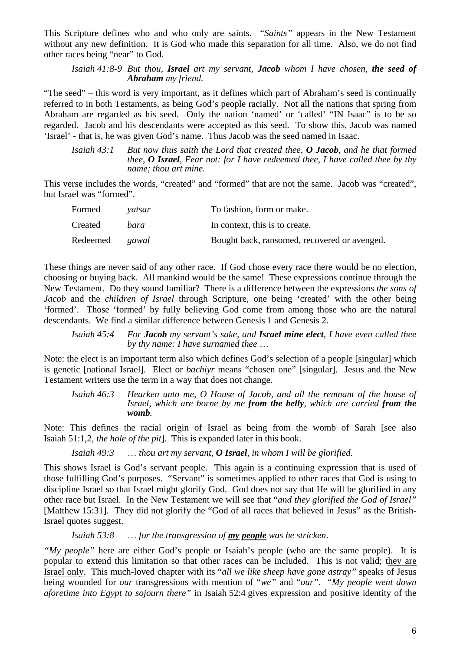This Scripture defines who and who only are saints. "*Saints"* appears in the New Testament without any new definition. It is God who made this separation for all time. Also, we do not find other races being "near" to God.

*Isaiah 41:8-9 But thou, Israel art my servant, Jacob whom I have chosen, the seed of Abraham my friend.* 

"The seed" – this word is very important, as it defines which part of Abraham's seed is continually referred to in both Testaments, as being God's people racially. Not all the nations that spring from Abraham are regarded as his seed. Only the nation 'named' or 'called' "IN Isaac" is to be so regarded. Jacob and his descendants were accepted as this seed. To show this, Jacob was named 'Israel' - that is, he was given God's name. Thus Jacob was the seed named in Isaac.

*Isaiah 43:1 But now thus saith the Lord that created thee, O Jacob, and he that formed thee, O Israel, Fear not: for I have redeemed thee, I have called thee by thy name; thou art mine.* 

This verse includes the words, "created" and "formed" that are not the same. Jacob was "created", but Israel was "formed".

| Formed                | vatsar | To fashion, form or make.                    |
|-----------------------|--------|----------------------------------------------|
| Created               | bara   | In context, this is to create.               |
| Redeemed <i>gawal</i> |        | Bought back, ransomed, recovered or avenged. |

These things are never said of any other race. If God chose every race there would be no election, choosing or buying back. All mankind would be the same! These expressions continue through the New Testament. Do they sound familiar? There is a difference between the expressions *the sons of Jacob* and the *children of Israel* through Scripture, one being 'created' with the other being 'formed'. Those 'formed' by fully believing God come from among those who are the natural descendants. We find a similar difference between Genesis 1 and Genesis 2.

*Isaiah 45:4 For Jacob my servant's sake, and Israel mine elect, I have even called thee by thy name: I have surnamed thee* …

Note: the elect is an important term also which defines God's selection of a people [singular] which is genetic [national Israel]. Elect or *bachiyr* means "chosen one" [singular]. Jesus and the New Testament writers use the term in a way that does not change.

*Isaiah 46:3 Hearken unto me, O House of Jacob, and all the remnant of the house of Israel, which are borne by me from the belly, which are carried from the womb.* 

Note: This defines the racial origin of Israel as being from the womb of Sarah [see also Isaiah 51:1,2*, the hole of the pit*]. This is expanded later in this book.

*Isaiah 49:3* … *thou art my servant, O Israel, in whom I will be glorified.* 

This shows Israel is God's servant people. This again is a continuing expression that is used of those fulfilling God's purposes. "Servant" is sometimes applied to other races that God is using to discipline Israel so that Israel might glorify God. God does not say that He will be glorified in any other race but Israel. In the New Testament we will see that "*and they glorified the God of Israel"* [Matthew 15:31]. They did not glorify the "God of all races that believed in Jesus" as the British-Israel quotes suggest.

*Isaiah 53:8* … *for the transgression of my people was he stricken*.

*"My people"* here are either God's people or Isaiah's people (who are the same people). It is popular to extend this limitation so that other races can be included. This is not valid; they are Israel only. This much-loved chapter with its "*all we like sheep have gone astray"* speaks of Jesus being wounded for *our* transgressions with mention of "*we"* and "*our"*. "*My people went down aforetime into Egypt to sojourn there"* in Isaiah 52:4 gives expression and positive identity of the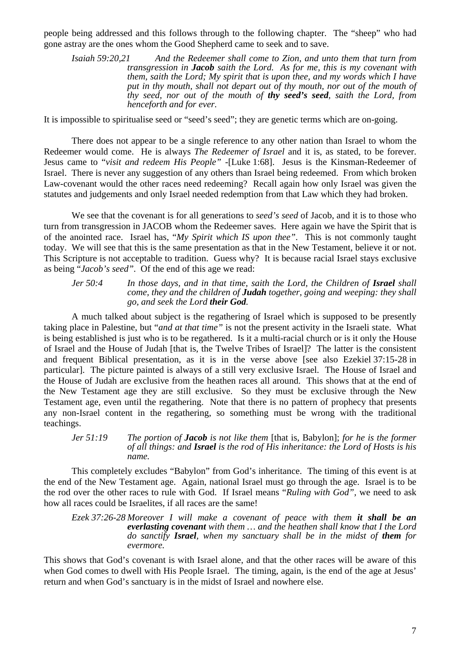people being addressed and this follows through to the following chapter. The "sheep" who had gone astray are the ones whom the Good Shepherd came to seek and to save.

*Isaiah 59:20,21 And the Redeemer shall come to Zion, and unto them that turn from transgression in Jacob saith the Lord. As for me, this is my covenant with them, saith the Lord; My spirit that is upon thee, and my words which I have*  put in thy mouth, shall not depart out of thy mouth, nor out of the mouth of *thy seed, nor out of the mouth of thy seed's seed, saith the Lord, from henceforth and for ever.* 

It is impossible to spiritualise seed or "seed's seed"; they are genetic terms which are on-going.

There does not appear to be a single reference to any other nation than Israel to whom the Redeemer would come. He is always *The Redeemer of Israel* and it is, as stated, to be forever. Jesus came to "*visit and redeem His People" -*[Luke 1:68]. Jesus is the Kinsman-Redeemer of Israel. There is never any suggestion of any others than Israel being redeemed. From which broken Law-covenant would the other races need redeeming? Recall again how only Israel was given the statutes and judgements and only Israel needed redemption from that Law which they had broken.

We see that the covenant is for all generations to *seed's seed* of Jacob, and it is to those who turn from transgression in JACOB whom the Redeemer saves. Here again we have the Spirit that is of the anointed race. Israel has, "*My Spirit which IS upon thee"*. This is not commonly taught today. We will see that this is the same presentation as that in the New Testament, believe it or not. This Scripture is not acceptable to tradition. Guess why? It is because racial Israel stays exclusive as being "*Jacob's seed".* Of the end of this age we read:

*Jer* 50:4 In those days, and in that time, saith the Lord, the Children of **Israel** shall *come, they and the children of Judah together, going and weeping: they shall go, and seek the Lord their God.* 

A much talked about subject is the regathering of Israel which is supposed to be presently taking place in Palestine, but "*and at that time"* is not the present activity in the Israeli state. What is being established is just who is to be regathered. Is it a multi-racial church or is it only the House of Israel and the House of Judah [that is, the Twelve Tribes of Israel]? The latter is the consistent and frequent Biblical presentation, as it is in the verse above [see also Ezekiel 37:15-28 in particular]. The picture painted is always of a still very exclusive Israel. The House of Israel and the House of Judah are exclusive from the heathen races all around. This shows that at the end of the New Testament age they are still exclusive. So they must be exclusive through the New Testament age, even until the regathering. Note that there is no pattern of prophecy that presents any non-Israel content in the regathering, so something must be wrong with the traditional teachings.

*Jer 51:19 The portion of Jacob is not like them* [that is, Babylon]; *for he is the former of all things: and Israel is the rod of His inheritance: the Lord of Hosts is his name.* 

This completely excludes "Babylon" from God's inheritance. The timing of this event is at the end of the New Testament age. Again, national Israel must go through the age. Israel is to be the rod over the other races to rule with God. If Israel means "*Ruling with God",* we need to ask how all races could be Israelites, if all races are the same!

*Ezek 37:26-28 Moreover I will make a covenant of peace with them it shall be an everlasting covenant with them … and the heathen shall know that I the Lord do sanctify Israel, when my sanctuary shall be in the midst of them for evermore.* 

This shows that God's covenant is with Israel alone, and that the other races will be aware of this when God comes to dwell with His People Israel. The timing, again, is the end of the age at Jesus' return and when God's sanctuary is in the midst of Israel and nowhere else.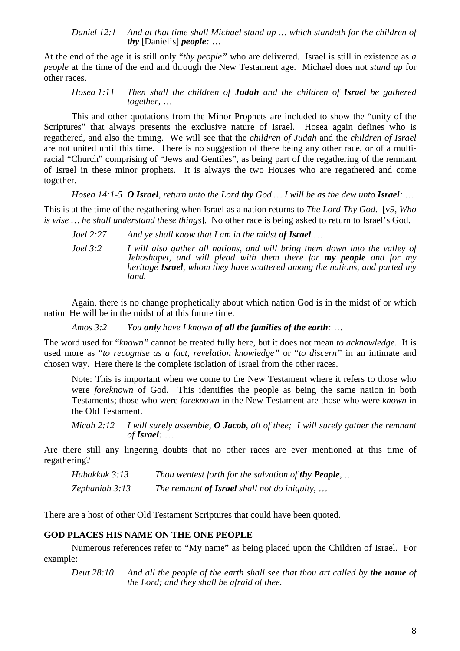## *Daniel 12:1 And at that time shall Michael stand up … which standeth for the children of thy* [Daniel's] *people:* …

At the end of the age it is still only "*thy people"* who are delivered. Israel is still in existence as *a people* at the time of the end and through the New Testament age. Michael does not *stand up* for other races.

*Hosea 1:11 Then shall the children of Judah and the children of Israel be gathered together,* …

This and other quotations from the Minor Prophets are included to show the "unity of the Scriptures" that always presents the exclusive nature of Israel. Hose again defines who is regathered, and also the timing. We will see that the *children of Judah* and the *children of Israel* are not united until this time. There is no suggestion of there being any other race, or of a multiracial "Church" comprising of "Jews and Gentiles", as being part of the regathering of the remnant of Israel in these minor prophets. It is always the two Houses who are regathered and come together.

*Hosea 14:1-5 O Israel, return unto the Lord thy God … I will be as the dew unto Israel:* …

This is at the time of the regathering when Israel as a nation returns to *The Lord Thy God*. [v*9, Who is wise … he shall understand these things*]. No other race is being asked to return to Israel's God.

*Joel 2:27* And ye shall know that I am in the midst of Israel ... *Joel 3:2 I will also gather all nations, and will bring them down into the valley of Jehoshapet, and will plead with them there for my people and for my heritage Israel, whom they have scattered among the nations, and parted my land.* 

Again, there is no change prophetically about which nation God is in the midst of or which nation He will be in the midst of at this future time.

*Amos 3:2 You only have I known of all the families of the earth:* …

The word used for "*known"* cannot be treated fully here, but it does not mean *to acknowledge*. It is used more as "*to recognise as a fact*, *revelation knowledge"* or "*to discern"* in an intimate and chosen way. Here there is the complete isolation of Israel from the other races.

Note: This is important when we come to the New Testament where it refers to those who were *foreknown* of God. This identifies the people as being the same nation in both Testaments; those who were *foreknown* in the New Testament are those who were *known* in the Old Testament.

*Micah 2:12 I will surely assemble, O Jacob, all of thee; I will surely gather the remnant of Israel:* …

Are there still any lingering doubts that no other races are ever mentioned at this time of regathering?

*Habakkuk 3:13 Thou wentest forth for the salvation of thy People, ... Zephaniah 3:13 The remnant of Israel shall not do iniquity,* …

There are a host of other Old Testament Scriptures that could have been quoted.

# **GOD PLACES HIS NAME ON THE ONE PEOPLE**

Numerous references refer to "My name" as being placed upon the Children of Israel. For example:

*Deut 28:10 And all the people of the earth shall see that thou art called by the name of the Lord; and they shall be afraid of thee.*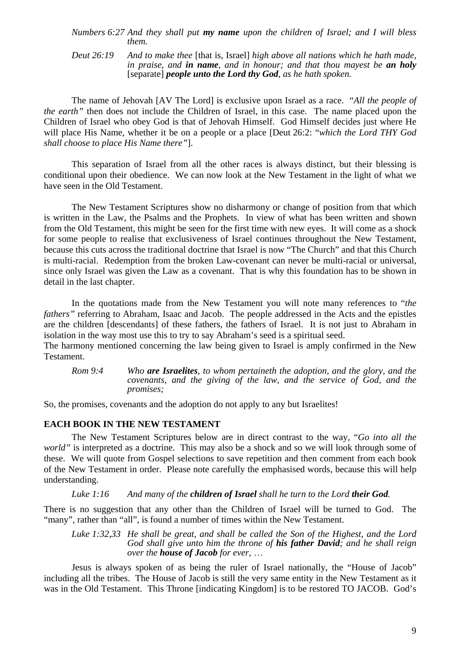#### *Numbers 6:27 And they shall put my name upon the children of Israel; and I will bless them.*

*Deut 26:19 And to make thee* [that is, Israel] *high above all nations which he hath made, in praise, and in name, and in honour; and that thou mayest be an holy* [separate] *people unto the Lord thy God, as he hath spoken.* 

The name of Jehovah [AV The Lord] is exclusive upon Israel as a race. "*All the people of the earth"* then does not include the Children of Israel, in this case. The name placed upon the Children of Israel who obey God is that of Jehovah Himself. God Himself decides just where He will place His Name, whether it be on a people or a place [Deut 26:2: "*which the Lord THY God shall choose to place His Name there"*].

This separation of Israel from all the other races is always distinct, but their blessing is conditional upon their obedience. We can now look at the New Testament in the light of what we have seen in the Old Testament.

The New Testament Scriptures show no disharmony or change of position from that which is written in the Law, the Psalms and the Prophets. In view of what has been written and shown from the Old Testament, this might be seen for the first time with new eyes. It will come as a shock for some people to realise that exclusiveness of Israel continues throughout the New Testament, because this cuts across the traditional doctrine that Israel is now "The Church" and that this Church is multi-racial. Redemption from the broken Law-covenant can never be multi-racial or universal, since only Israel was given the Law as a covenant. That is why this foundation has to be shown in detail in the last chapter.

In the quotations made from the New Testament you will note many references to "*the fathers"* referring to Abraham, Isaac and Jacob. The people addressed in the Acts and the epistles are the children [descendants] of these fathers, the fathers of Israel. It is not just to Abraham in isolation in the way most use this to try to say Abraham's seed is a spiritual seed.

The harmony mentioned concerning the law being given to Israel is amply confirmed in the New Testament.

*Rom 9:4 Who are Israelites, to whom pertaineth the adoption, and the glory, and the covenants, and the giving of the law, and the service of God, and the promises;* 

So, the promises, covenants and the adoption do not apply to any but Israelites!

# **EACH BOOK IN THE NEW TESTAMENT**

The New Testament Scriptures below are in direct contrast to the way, "*Go into all the world*" is interpreted as a doctrine. This may also be a shock and so we will look through some of these. We will quote from Gospel selections to save repetition and then comment from each book of the New Testament in order. Please note carefully the emphasised words, because this will help understanding.

# *Luke 1:16 And many of the children of Israel shall he turn to the Lord their God.*

There is no suggestion that any other than the Children of Israel will be turned to God. The "many", rather than "all", is found a number of times within the New Testament.

*Luke 1:32,33 He shall be great, and shall be called the Son of the Highest, and the Lord God shall give unto him the throne of his father David; and he shall reign over the house of Jacob for ever,* …

Jesus is always spoken of as being the ruler of Israel nationally, the "House of Jacob" including all the tribes. The House of Jacob is still the very same entity in the New Testament as it was in the Old Testament. This Throne [indicating Kingdom] is to be restored TO JACOB. God's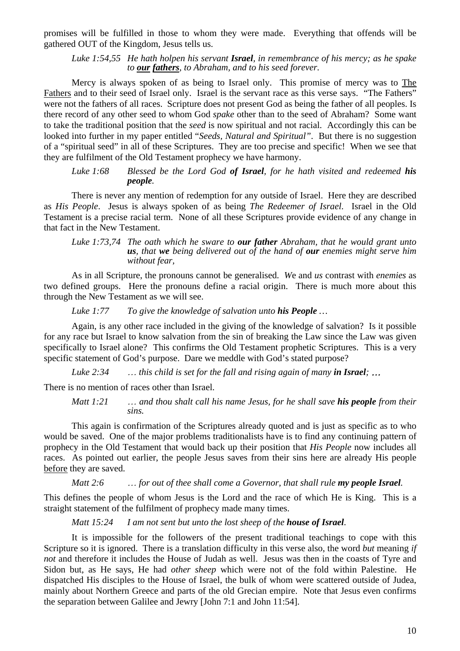promises will be fulfilled in those to whom they were made. Everything that offends will be gathered OUT of the Kingdom, Jesus tells us.

*Luke 1:54,55 He hath holpen his servant Israel, in remembrance of his mercy; as he spake to our fathers, to Abraham, and to his seed forever.* 

Mercy is always spoken of as being to Israel only. This promise of mercy was to The Fathers and to their seed of Israel only. Israel is the servant race as this verse says. "The Fathers" were not the fathers of all races. Scripture does not present God as being the father of all peoples. Is there record of any other seed to whom God *spake* other than to the seed of Abraham? Some want to take the traditional position that the *seed* is now spiritual and not racial. Accordingly this can be looked into further in my paper entitled "*Seeds, Natural and Spiritual"*. But there is no suggestion of a "spiritual seed" in all of these Scriptures. They are too precise and specific! When we see that they are fulfilment of the Old Testament prophecy we have harmony.

*Luke 1:68 Blessed be the Lord God of Israel, for he hath visited and redeemed his people.* 

There is never any mention of redemption for any outside of Israel. Here they are described as *His People*. Jesus is always spoken of as being *The Redeemer of Israel*. Israel in the Old Testament is a precise racial term. None of all these Scriptures provide evidence of any change in that fact in the New Testament.

*Luke 1:73,74 The oath which he sware to our father Abraham, that he would grant unto us, that we being delivered out of the hand of our enemies might serve him without fear,* 

As in all Scripture, the pronouns cannot be generalised. *W*e and *us* contrast with *enemies* as two defined groups. Here the pronouns define a racial origin. There is much more about this through the New Testament as we will see.

*Luke 1:77 To give the knowledge of salvation unto his People …* 

Again, is any other race included in the giving of the knowledge of salvation? Is it possible for any race but Israel to know salvation from the sin of breaking the Law since the Law was given specifically to Israel alone? This confirms the Old Testament prophetic Scriptures. This is a very specific statement of God's purpose. Dare we meddle with God's stated purpose?

*Luke 2:34* … *this child is set for the fall and rising again of many in Israel;* …

There is no mention of races other than Israel.

*Matt 1:21* … *and thou shalt call his name Jesus, for he shall save his people from their sins.* 

This again is confirmation of the Scriptures already quoted and is just as specific as to who would be saved. One of the major problems traditionalists have is to find any continuing pattern of prophecy in the Old Testament that would back up their position that *His People* now includes all races. As pointed out earlier, the people Jesus saves from their sins here are already His people before they are saved.

*Matt 2:6* ... *for out of thee shall come a Governor, that shall rule* **my people Israel***.* 

This defines the people of whom Jesus is the Lord and the race of which He is King. This is a straight statement of the fulfilment of prophecy made many times.

*Matt 15:24 I am not sent but unto the lost sheep of the <i>house of Israel.* 

It is impossible for the followers of the present traditional teachings to cope with this Scripture so it is ignored. There is a translation difficulty in this verse also, the word *but* meaning *if not* and therefore it includes the House of Judah as well. Jesus was then in the coasts of Tyre and Sidon but, as He says, He had *other sheep* which were not of the fold within Palestine. He dispatched His disciples to the House of Israel, the bulk of whom were scattered outside of Judea, mainly about Northern Greece and parts of the old Grecian empire. Note that Jesus even confirms the separation between Galilee and Jewry [John 7:1 and John 11:54].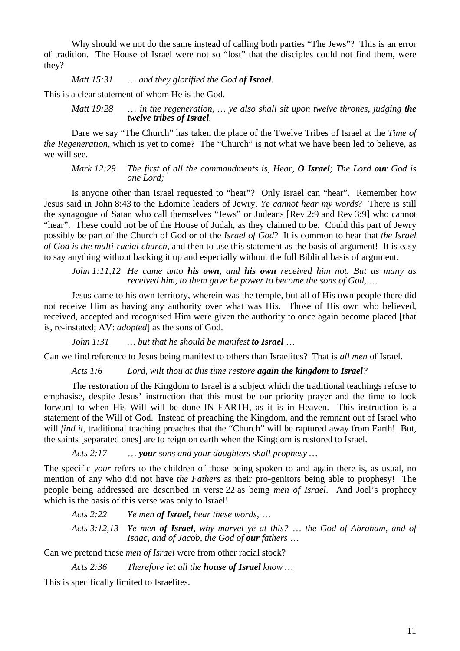Why should we not do the same instead of calling both parties "The Jews"? This is an error of tradition. The House of Israel were not so "lost" that the disciples could not find them, were they?

## *Matt 15:31* … *and they glorified the God of Israel.*

This is a clear statement of whom He is the God.

*Matt 19:28* … *in the regeneration, … ye also shall sit upon twelve thrones, judging the twelve tribes of Israel.* 

Dare we say "The Church" has taken the place of the Twelve Tribes of Israel at the *Time of the Regeneration*, which is yet to come? The "Church" is not what we have been led to believe, as we will see.

*Mark 12:29 The first of all the commandments is, Hear, O Israel; The Lord our God is one Lord;* 

Is anyone other than Israel requested to "hear"? Only Israel can "hear". Remember how Jesus said in John 8:43 to the Edomite leaders of Jewry, *Ye cannot hear my words*? There is still the synagogue of Satan who call themselves "Jews" or Judeans [Rev 2:9 and Rev 3:9] who cannot "hear". These could not be of the House of Judah, as they claimed to be. Could this part of Jewry possibly be part of the Church of God or of the *Israel of God*? It is common to hear that *the Israel of God is the multi-racial church*, and then to use this statement as the basis of argument! It is easy to say anything without backing it up and especially without the full Biblical basis of argument.

*John 1:11,12 He came unto his own, and his own received him not. But as many as received him, to them gave he power to become the sons of God,* …

Jesus came to his own territory, wherein was the temple, but all of His own people there did not receive Him as having any authority over what was His. Those of His own who believed, received, accepted and recognised Him were given the authority to once again become placed [that is, re-instated; AV: *adopted*] as the sons of God.

*John 1:31 … but that he should be manifest to Israel* …

Can we find reference to Jesus being manifest to others than Israelites? That is *all men* of Israel.

*Acts 1:6 Lord, wilt thou at this time restore again the kingdom to Israel?* 

The restoration of the Kingdom to Israel is a subject which the traditional teachings refuse to emphasise, despite Jesus' instruction that this must be our priority prayer and the time to look forward to when His Will will be done IN EARTH, as it is in Heaven. This instruction is a statement of the Will of God. Instead of preaching the Kingdom, and the remnant out of Israel who will *find it*, traditional teaching preaches that the "Church" will be raptured away from Earth! But, the saints [separated ones] are to reign on earth when the Kingdom is restored to Israel.

*Acts 2:17* … *your sons and your daughters shall prophesy …* 

The specific *your* refers to the children of those being spoken to and again there is, as usual, no mention of any who did not have *the Fathers* as their pro-genitors being able to prophesy! The people being addressed are described in verse 22 as being *men of Israel*. And Joel's prophecy which is the basis of this verse was only to Israel!

*Acts 2:22 Ye men of Israel, hear these words,* …

*Acts 3:12,13 Ye men of Israel, why marvel ye at this?* … *the God of Abraham, and of Isaac, and of Jacob, the God of our fathers* …

Can we pretend these *men of Israel* were from other racial stock?

*Acts 2:36 Therefore let all the house of Israel know …* 

This is specifically limited to Israelites.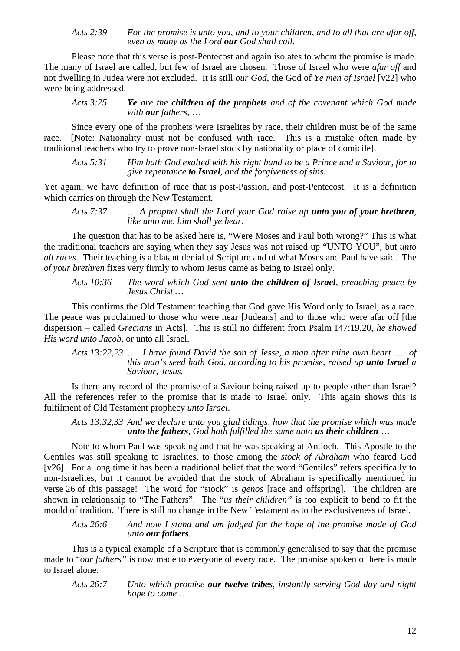*Acts 2:39 For the promise is unto you, and to your children, and to all that are afar off, even as many as the Lord our God shall call.* 

Please note that this verse is post-Pentecost and again isolates to whom the promise is made. The many of Israel are called, but few of Israel are chosen. Those of Israel who were *afar off* and not dwelling in Judea were not excluded. It is still *our God*, the God of *Ye men of Israel* [v22] who were being addressed.

*Acts 3:25 Ye are the children of the prophets and of the covenant which God made with our fathers,* …

Since every one of the prophets were Israelites by race, their children must be of the same race. [Note: Nationality must not be confused with race. This is a mistake often made by traditional teachers who try to prove non-Israel stock by nationality or place of domicile].

*Acts 5:31 Him hath God exalted with his right hand to be a Prince and a Saviour, for to give repentance to Israel, and the forgiveness of sins.* 

Yet again, we have definition of race that is post-Passion, and post-Pentecost. It is a definition which carries on through the New Testament.

*Acts 7:37* … *A prophet shall the Lord your God raise up unto you of your brethren, like unto me, him shall ye hear.* 

The question that has to be asked here is, "Were Moses and Paul both wrong?" This is what the traditional teachers are saying when they say Jesus was not raised up "UNTO YOU", but *unto all races*. Their teaching is a blatant denial of Scripture and of what Moses and Paul have said. The *of your brethren* fixes very firmly to whom Jesus came as being to Israel only.

*Acts 10:36 The word which God sent unto the children of Israel, preaching peace by Jesus Christ …* 

This confirms the Old Testament teaching that God gave His Word only to Israel, as a race. The peace was proclaimed to those who were near [Judeans] and to those who were afar off [the dispersion – called *Grecians* in Acts]. This is still no different from Psalm 147:19,20, *he showed His word unto Jacob*, or unto all Israel.

*Acts 13:22,23* … *I have found David the son of Jesse, a man after mine own heart* … *of this man's seed hath God, according to his promise, raised up unto Israel a Saviour, Jesus.* 

Is there any record of the promise of a Saviour being raised up to people other than Israel? All the references refer to the promise that is made to Israel only. This again shows this is fulfilment of Old Testament prophecy *unto Israel*.

*Acts 13:32,33 And we declare unto you glad tidings, how that the promise which was made unto the fathers, God hath fulfilled the same unto us their children* …

Note to whom Paul was speaking and that he was speaking at Antioch. This Apostle to the Gentiles was still speaking to Israelites, to those among the *stock of Abraham* who feared God [v26]. For a long time it has been a traditional belief that the word "Gentiles" refers specifically to non-Israelites, but it cannot be avoided that the stock of Abraham is specifically mentioned in verse 26 of this passage! The word for "stock" is *genos* [race and offspring]. The children are shown in relationship to "The Fathers". The "*us their children*" is too explicit to bend to fit the mould of tradition. There is still no change in the New Testament as to the exclusiveness of Israel.

*Acts 26:6 And now I stand and am judged for the hope of the promise made of God unto our fathers.* 

This is a typical example of a Scripture that is commonly generalised to say that the promise made to "*our fathers"* is now made to everyone of every race. The promise spoken of here is made to Israel alone.

*Acts 26:7 Unto which promise our twelve tribes, instantly serving God day and night hope to come* …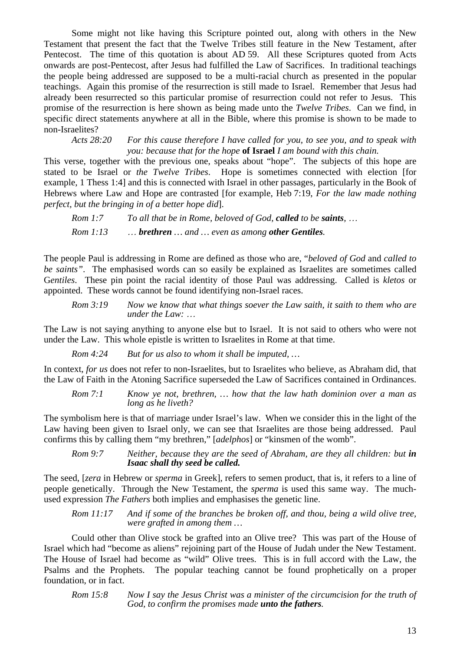Some might not like having this Scripture pointed out, along with others in the New Testament that present the fact that the Twelve Tribes still feature in the New Testament, after Pentecost. The time of this quotation is about AD 59. All these Scriptures quoted from Acts onwards are post-Pentecost, after Jesus had fulfilled the Law of Sacrifices. In traditional teachings the people being addressed are supposed to be a multi-racial church as presented in the popular teachings. Again this promise of the resurrection is still made to Israel. Remember that Jesus had already been resurrected so this particular promise of resurrection could not refer to Jesus. This promise of the resurrection is here shown as being made unto the *Twelve Tribes*. Can we find, in specific direct statements anywhere at all in the Bible, where this promise is shown to be made to non-Israelites?

*Acts 28:20 For this cause therefore I have called for you, to see you, and to speak with you: because that for the hope* **of Israel** *I am bound with this chain.* 

This verse, together with the previous one, speaks about "hope". The subjects of this hope are stated to be Israel or *the Twelve Tribes*. Hope is sometimes connected with election [for example, 1 Thess 1:4] and this is connected with Israel in other passages, particularly in the Book of Hebrews where Law and Hope are contrasted [for example, Heb 7:19, *For the law made nothing perfect, but the bringing in of a better hope did*].

*Rom 1:7 To all that be in Rome, beloved of God, called to be saints,* … *Rom 1:13* … *brethren … and … even as among other Gentiles.* 

The people Paul is addressing in Rome are defined as those who are, "*beloved of God* and *called to be saints"*. The emphasised words can so easily be explained as Israelites are sometimes called G*entiles*. These pin point the racial identity of those Paul was addressing. Called is *kletos* or appointed. These words cannot be found identifying non-Israel races.

*Rom 3:19 Now we know that what things soever the Law saith, it saith to them who are under the Law:* …

The Law is not saying anything to anyone else but to Israel. It is not said to others who were not under the Law. This whole epistle is written to Israelites in Rome at that time.

*Rom 4:24 But for us also to whom it shall be imputed, …* 

In context, *for us* does not refer to non-Israelites, but to Israelites who believe, as Abraham did, that the Law of Faith in the Atoning Sacrifice superseded the Law of Sacrifices contained in Ordinances.

*Rom 7:1 Know ye not, brethren, … how that the law hath dominion over a man as long as he liveth?* 

The symbolism here is that of marriage under Israel's law. When we consider this in the light of the Law having been given to Israel only, we can see that Israelites are those being addressed. Paul confirms this by calling them "my brethren," [*adelphos*] or "kinsmen of the womb".

*Rom* 9:7 Neither, because they are the seed of Abraham, are they all children: but *in Isaac shall thy seed be called.* 

The seed, [*zera* in Hebrew or *sperma* in Greek], refers to semen product, that is, it refers to a line of people genetically. Through the New Testament, the *sperma* is used this same way. The muchused expression *The Fathers* both implies and emphasises the genetic line.

*Rom 11:17 And if some of the branches be broken off, and thou, being a wild olive tree, were grafted in among them …* 

Could other than Olive stock be grafted into an Olive tree? This was part of the House of Israel which had "become as aliens" rejoining part of the House of Judah under the New Testament. The House of Israel had become as "wild" Olive trees. This is in full accord with the Law, the Psalms and the Prophets. The popular teaching cannot be found prophetically on a proper foundation, or in fact.

*Rom 15:8 Now I say the Jesus Christ was a minister of the circumcision for the truth of God, to confirm the promises made unto the fathers.*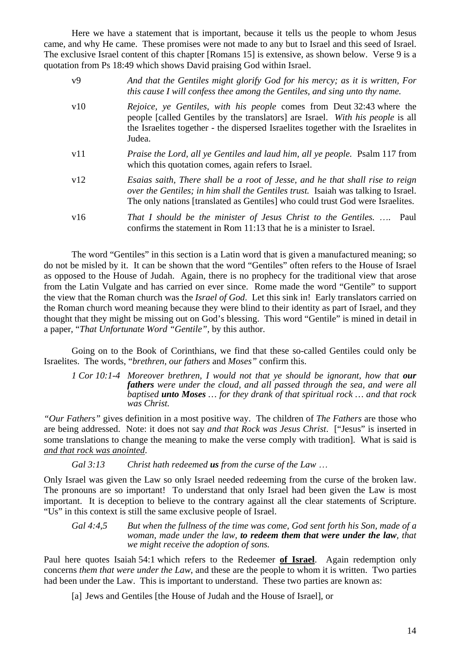Here we have a statement that is important, because it tells us the people to whom Jesus came, and why He came. These promises were not made to any but to Israel and this seed of Israel. The exclusive Israel content of this chapter [Romans 15] is extensive, as shown below. Verse 9 is a quotation from Ps 18:49 which shows David praising God within Israel.

| v9  | And that the Gentiles might glorify God for his mercy; as it is written, For<br>this cause I will confess thee among the Gentiles, and sing unto thy name.                                                                                                     |
|-----|----------------------------------------------------------------------------------------------------------------------------------------------------------------------------------------------------------------------------------------------------------------|
| v10 | <i>Rejoice, ye Gentiles, with his people comes from Deut 32:43 where the</i><br>people [called Gentiles by the translators] are Israel. With his people is all<br>the Israelites together - the dispersed Israelites together with the Israelites in<br>Judea. |
| v11 | <i>Praise the Lord, all ye Gentiles and laud him, all ye people.</i> Psalm 117 from<br>which this quotation comes, again refers to Israel.                                                                                                                     |
| v12 | Esaias saith, There shall be a root of Jesse, and he that shall rise to reign<br>over the Gentiles; in him shall the Gentiles trust. Isaiah was talking to Israel.<br>The only nations [translated as Gentiles] who could trust God were Israelites.           |
| v16 | That I should be the minister of Jesus Christ to the Gentiles.<br>Paul<br>confirms the statement in Rom 11:13 that he is a minister to Israel.                                                                                                                 |

The word "Gentiles" in this section is a Latin word that is given a manufactured meaning; so do not be misled by it. It can be shown that the word "Gentiles" often refers to the House of Israel as opposed to the House of Judah. Again, there is no prophecy for the traditional view that arose from the Latin Vulgate and has carried on ever since. Rome made the word "Gentile" to support the view that the Roman church was the *Israel of God*. Let this sink in! Early translators carried on the Roman church word meaning because they were blind to their identity as part of Israel, and they thought that they might be missing out on God's blessing. This word "Gentile" is mined in detail in a paper, "*That Unfortunate Word "Gentile",* by this author.

Going on to the Book of Corinthians, we find that these so-called Gentiles could only be Israelites. The words, "*brethren, our fathers* and *Moses"* confirm this.

*1 Cor 10:1-4 Moreover brethren, I would not that ve should be ignorant, how that our fathers were under the cloud, and all passed through the sea, and were all baptised unto Moses … for they drank of that spiritual rock … and that rock was Christ.* 

*"Our Fathers"* gives definition in a most positive way. The children of *The Fathers* are those who are being addressed. Note: it does not say *and that Rock was Jesus Christ*. ["Jesus" is inserted in some translations to change the meaning to make the verse comply with tradition]. What is said is *and that rock was anointed*.

*Gal 3:13 Christ hath redeemed us from the curse of the Law* …

Only Israel was given the Law so only Israel needed redeeming from the curse of the broken law. The pronouns are so important! To understand that only Israel had been given the Law is most important. It is deception to believe to the contrary against all the clear statements of Scripture. "Us" in this context is still the same exclusive people of Israel.

*Gal 4:4,5 But when the fullness of the time was come, God sent forth his Son, made of a woman, made under the law, to redeem them that were under the law, that we might receive the adoption of sons.* 

Paul here quotes Isaiah 54:1 which refers to the Redeemer **of Israel**. Again redemption only concerns *them that were under the Law*, and these are the people to whom it is written. Two parties had been under the Law. This is important to understand. These two parties are known as:

[a] Jews and Gentiles [the House of Judah and the House of Israel], or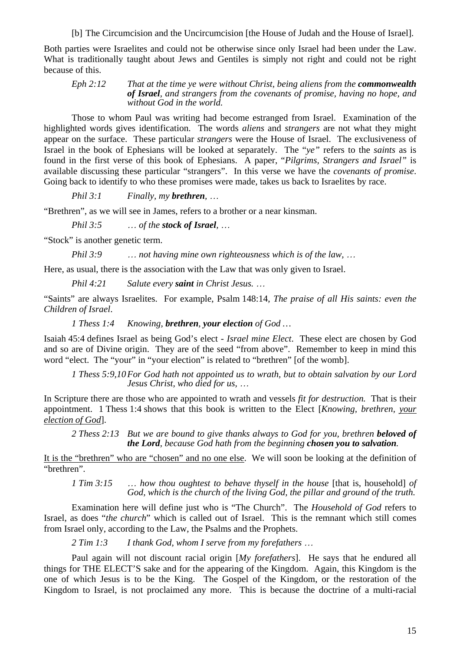[b] The Circumcision and the Uncircumcision [the House of Judah and the House of Israel].

Both parties were Israelites and could not be otherwise since only Israel had been under the Law. What is traditionally taught about Jews and Gentiles is simply not right and could not be right because of this.

*Eph 2:12 That at the time ye were without Christ, being aliens from the commonwealth of Israel, and strangers from the covenants of promise, having no hope, and without God in the world.* 

Those to whom Paul was writing had become estranged from Israel. Examination of the highlighted words gives identification. The words *aliens* and *strangers* are not what they might appear on the surface. These particular *strangers* were the House of Israel. The exclusiveness of Israel in the book of Ephesians will be looked at separately. The "*ye"* refers to the *saints* as is found in the first verse of this book of Ephesians. A paper, "*Pilgrims, Strangers and Israel"* is available discussing these particular "strangers". In this verse we have the *covenants of promise*. Going back to identify to who these promises were made, takes us back to Israelites by race.

*Phil 3:1 Finally, my brethren,* …

"Brethren", as we will see in James, refers to a brother or a near kinsman.

*Phil 3:5* … *of the stock of Israel,* …

"Stock" is another genetic term.

*Phil 3:9* … *not having mine own righteousness which is of the law,* …

Here, as usual, there is the association with the Law that was only given to Israel.

*Phil 4:21 Salute every saint in Christ Jesus.* …

"Saints" are always Israelites. For example, Psalm 148:14, *The praise of all His saints: even the Children of Israel*.

*1 Thess 1:4 Knowing, brethren, your election of God …* 

Isaiah 45:4 defines Israel as being God's elect - *Israel mine Elect*. These elect are chosen by God and so are of Divine origin. They are of the seed "from above". Remember to keep in mind this word "elect. The "your" in "your election" is related to "brethren" [of the womb].

*1 Thess 5:9,10 For God hath not appointed us to wrath, but to obtain salvation by our Lord Jesus Christ, who died for us,* …

In Scripture there are those who are appointed to wrath and vessels *fit for destruction.* That is their appointment. 1 Thess 1:4 shows that this book is written to the Elect [*Knowing, brethren, your election of God*].

2 Thess 2:13 But we are bound to give thanks always to God for you, brethren **beloved of** *the Lord, because God hath from the beginning chosen you to salvation.* 

It is the "brethren" who are "chosen" and no one else. We will soon be looking at the definition of "brethren".

*1 Tim 3:15* … *how thou oughtest to behave thyself in the house* [that is, household] *of God, which is the church of the living God, the pillar and ground of the truth.* 

Examination here will define just who is "The Church". The *Household of God* refers to Israel, as does "*the church*" which is called out of Israel. This is the remnant which still comes from Israel only, according to the Law, the Psalms and the Prophets.

*2 Tim 1:3 I thank God, whom I serve from my forefathers* …

Paul again will not discount racial origin [*My forefathers*]. He says that he endured all things for THE ELECT'S sake and for the appearing of the Kingdom. Again, this Kingdom is the one of which Jesus is to be the King. The Gospel of the Kingdom, or the restoration of the Kingdom to Israel, is not proclaimed any more. This is because the doctrine of a multi-racial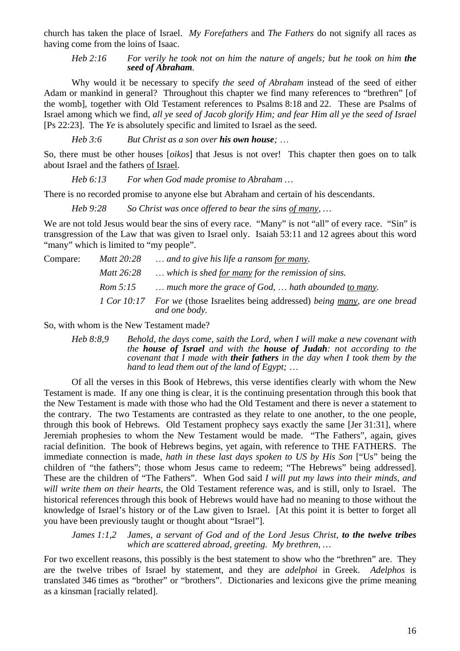church has taken the place of Israel. *My Forefathers* and *The Fathers* do not signify all races as having come from the loins of Isaac.

*Heb 2:16 For verily he took not on him the nature of angels; but he took on him the seed of Abraham.* 

Why would it be necessary to specify *the seed of Abraham* instead of the seed of either Adam or mankind in general? Throughout this chapter we find many references to "brethren" [of the womb], together with Old Testament references to Psalms 8:18 and 22. These are Psalms of Israel among which we find, *all ye seed of Jacob glorify Him; and fear Him all ye the seed of Israel* [Ps 22:23]. The *Ye* is absolutely specific and limited to Israel as the seed.

*Heb 3:6 But Christ as a son over his own house;* …

So, there must be other houses [*oikos*] that Jesus is not over! This chapter then goes on to talk about Israel and the fathers of Israel.

*Heb 6:13 For when God made promise to Abraham …* 

There is no recorded promise to anyone else but Abraham and certain of his descendants.

*Heb 9:28 So Christ was once offered to bear the sins of many, …* 

We are not told Jesus would bear the sins of every race. "Many" is not "all" of every race. "Sin" is transgression of the Law that was given to Israel only. Isaiah 53:11 and 12 agrees about this word "many" which is limited to "my people".

| Compare: | Matt 20:28 | and to give his life a ransom for many.                                                          |
|----------|------------|--------------------------------------------------------------------------------------------------|
|          | Matt 26:28 | which is shed for many for the remission of sins.                                                |
|          | Rom 5:15   | much more the grace of God,  hath abounded to many.                                              |
|          |            | 1 Cor 10:17 For we (those Israelites being addressed) being many, are one bread<br>and one body. |

So, with whom is the New Testament made?

*Heb 8:8,9 Behold, the days come, saith the Lord, when I will make a new covenant with the house of Israel and with the house of Judah: not according to the covenant that I made with their fathers in the day when I took them by the hand to lead them out of the land of Egypt;* …

Of all the verses in this Book of Hebrews, this verse identifies clearly with whom the New Testament is made. If any one thing is clear, it is the continuing presentation through this book that the New Testament is made with those who had the Old Testament and there is never a statement to the contrary. The two Testaments are contrasted as they relate to one another, to the one people, through this book of Hebrews. Old Testament prophecy says exactly the same [Jer 31:31], where Jeremiah prophesies to whom the New Testament would be made. "The Fathers", again, gives racial definition. The book of Hebrews begins, yet again, with reference to THE FATHERS. The immediate connection is made, *hath in these last days spoken to US by His Son* ["Us" being the children of "the fathers"; those whom Jesus came to redeem; "The Hebrews" being addressed]. These are the children of "The Fathers". When God said *I will put my laws into their minds, and will write them on their hearts*, the Old Testament reference was, and is still, only to Israel. The historical references through this book of Hebrews would have had no meaning to those without the knowledge of Israel's history or of the Law given to Israel. [At this point it is better to forget all you have been previously taught or thought about "Israel"].

*James 1:1,2 James, a servant of God and of the Lord Jesus Christ, to the twelve tribes which are scattered abroad, greeting. My brethren, …* 

For two excellent reasons, this possibly is the best statement to show who the "brethren" are. They are the twelve tribes of Israel by statement, and they are *adelphoi* in Greek. *Adelphos* is translated 346 times as "brother" or "brothers". Dictionaries and lexicons give the prime meaning as a kinsman [racially related].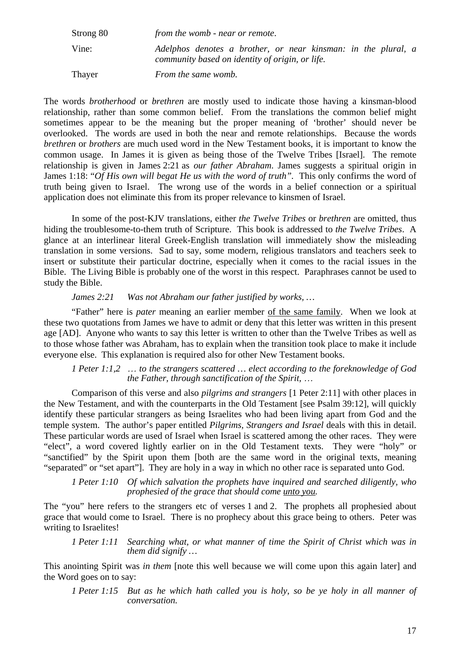Strong 80 *from the womb - near or remote*. Vine: *Adelphos denotes a brother, or near kinsman: in the plural, a community based on identity of origin, or life.*  Thayer *From the same womb.*

The words *brotherhood* or *brethren* are mostly used to indicate those having a kinsman-blood relationship, rather than some common belief. From the translations the common belief might sometimes appear to be the meaning but the proper meaning of 'brother' should never be overlooked. The words are used in both the near and remote relationships. Because the words *brethren* or *brothers* are much used word in the New Testament books, it is important to know the common usage. In James it is given as being those of the Twelve Tribes [Israel]. The remote relationship is given in James 2:21 as *our father Abraham*. James suggests a spiritual origin in James 1:18: "*Of His own will begat He us with the word of truth".* This only confirms the word of truth being given to Israel. The wrong use of the words in a belief connection or a spiritual application does not eliminate this from its proper relevance to kinsmen of Israel.

In some of the post-KJV translations, either *the Twelve Tribes* or *brethren* are omitted, thus hiding the troublesome-to-them truth of Scripture. This book is addressed to *the Twelve Tribes*. A glance at an interlinear literal Greek-English translation will immediately show the misleading translation in some versions. Sad to say, some modern, religious translators and teachers seek to insert or substitute their particular doctrine, especially when it comes to the racial issues in the Bible. The Living Bible is probably one of the worst in this respect. Paraphrases cannot be used to study the Bible.

# *James 2:21 Was not Abraham our father justified by works, …*

"Father" here is *pater* meaning an earlier member of the same family. When we look at these two quotations from James we have to admit or deny that this letter was written in this present age [AD]. Anyone who wants to say this letter is written to other than the Twelve Tribes as well as to those whose father was Abraham, has to explain when the transition took place to make it include everyone else. This explanation is required also for other New Testament books.

*1 Peter 1:1,2* … *to the strangers scattered … elect according to the foreknowledge of God the Father, through sanctification of the Spirit,* …

Comparison of this verse and also *pilgrims and strangers* [1 Peter 2:11] with other places in the New Testament, and with the counterparts in the Old Testament [see Psalm 39:12], will quickly identify these particular strangers as being Israelites who had been living apart from God and the temple system. The author's paper entitled *Pilgrims, Strangers and Israel* deals with this in detail. These particular words are used of Israel when Israel is scattered among the other races. They were "elect", a word covered lightly earlier on in the Old Testament texts. They were "holy" or "sanctified" by the Spirit upon them [both are the same word in the original texts, meaning "separated" or "set apart"]. They are holy in a way in which no other race is separated unto God.

## *1 Peter 1:10 Of which salvation the prophets have inquired and searched diligently, who prophesied of the grace that should come unto you.*

The "you" here refers to the strangers etc of verses 1 and 2. The prophets all prophesied about grace that would come to Israel. There is no prophecy about this grace being to others. Peter was writing to Israelites!

## *1 Peter 1:11 Searching what, or what manner of time the Spirit of Christ which was in them did signify …*

This anointing Spirit was *in them* [note this well because we will come upon this again later] and the Word goes on to say:

*1 Peter 1:15 But as he which hath called you is holy, so be ye holy in all manner of conversation.*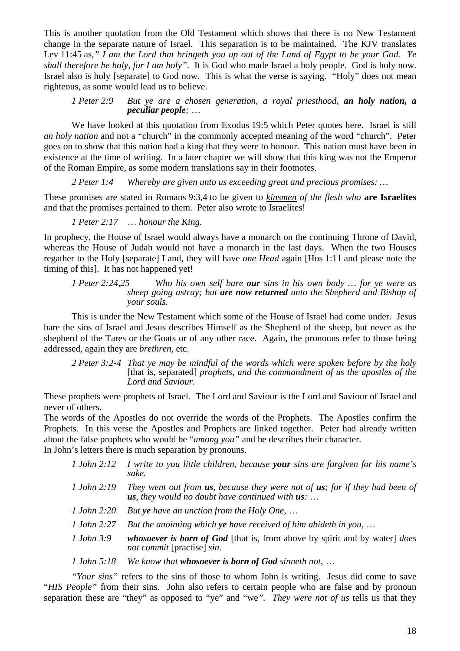This is another quotation from the Old Testament which shows that there is no New Testament change in the separate nature of Israel. This separation is to be maintained. The KJV translates Lev 11:45 as*," I am the Lord that bringeth you up out of the Land of Egypt to be your God. Ye shall therefore be holy, for I am holy"*. It is God who made Israel a holy people. God is holy now. Israel also is holy [separate] to God now. This is what the verse is saying. "Holy" does not mean righteous, as some would lead us to believe.

# *1 Peter 2:9 But ye are a chosen generation, a royal priesthood, an holy nation, a peculiar people;* …

We have looked at this quotation from Exodus 19:5 which Peter quotes here. Israel is still *an holy nation* and not a "church" in the commonly accepted meaning of the word "church". Peter goes on to show that this nation had a king that they were to honour. This nation must have been in existence at the time of writing. In a later chapter we will show that this king was not the Emperor of the Roman Empire, as some modern translations say in their footnotes.

*2 Peter 1:4 Whereby are given unto us exceeding great and precious promises: …* 

These promises are stated in Romans 9:3,4 to be given to *kinsmen of the flesh who* **are Israelites** and that the promises pertained to them. Peter also wrote to Israelites!

*1 Peter 2:17* … *honour the King.* 

In prophecy, the House of Israel would always have a monarch on the continuing Throne of David, whereas the House of Judah would not have a monarch in the last days. When the two Houses regather to the Holy [separate] Land, they will have *one Head* again [Hos 1:11 and please note the timing of this]. It has not happened yet!

*1 Peter 2:24,25 Who his own self bare our sins in his own body … for ye were as sheep going astray; but are now returned unto the Shepherd and Bishop of your souls.* 

This is under the New Testament which some of the House of Israel had come under. Jesus bare the sins of Israel and Jesus describes Himself as the Shepherd of the sheep, but never as the shepherd of the Tares or the Goats or of any other race. Again, the pronouns refer to those being addressed, again they are *brethren*, etc.

*2 Peter 3:2-4 That ye may be mindful of the words which were spoken before by the holy* [that is, separated] *prophets, and the commandment of us the apostles of the Lord and Saviour.* 

These prophets were prophets of Israel. The Lord and Saviour is the Lord and Saviour of Israel and never of others.

The words of the Apostles do not override the words of the Prophets. The Apostles confirm the Prophets. In this verse the Apostles and Prophets are linked together. Peter had already written about the false prophets who would be "*among you"* and he describes their character.

In John's letters there is much separation by pronouns.

| 1 John 2:12 | I write to you little children, because <b>your</b> sins are forgiven for his name's<br>sake.                                                   |
|-------------|-------------------------------------------------------------------------------------------------------------------------------------------------|
| 1 John 2:19 | They went out from $us$ , because they were not of $us$ ; for if they had been of<br><b>us</b> , they would no doubt have continued with $us: $ |
| 1 John 2:20 | But ye have an unction from the Holy One,                                                                                                       |
| 1 John 2:27 | But the anointing which ye have received of him abideth in you,                                                                                 |
| 1 John 3:9  | <i>whosoever is born of God</i> [that is, from above by spirit and by water] <i>does</i><br>not commit [practise] sin.                          |
| 1 John 5:18 | We know that <b>whosoever is born of God</b> sinneth not, $\ldots$                                                                              |
|             |                                                                                                                                                 |

*"Your sins"* refers to the sins of those to whom John is writing. Jesus did come to save "*HIS People"* from their sins. John also refers to certain people who are false and by pronoun separation these are "they" as opposed to "ye" and "we*". They were not of us* tells us that they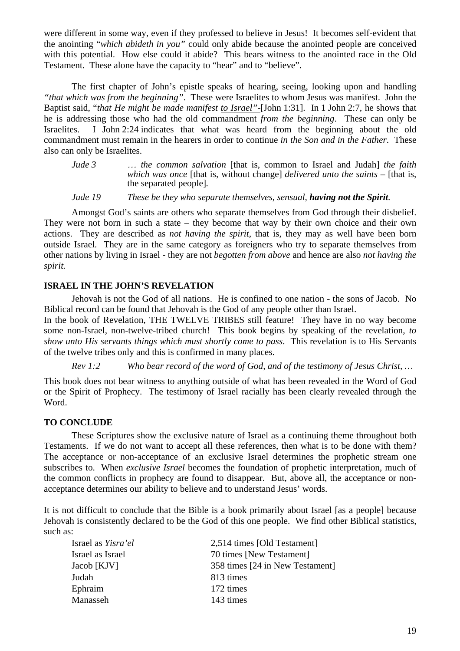were different in some way, even if they professed to believe in Jesus! It becomes self-evident that the anointing "*which abideth in you"* could only abide because the anointed people are conceived with this potential. How else could it abide? This bears witness to the anointed race in the Old Testament. These alone have the capacity to "hear" and to "believe".

The first chapter of John's epistle speaks of hearing, seeing, looking upon and handling *"that which was from the beginning"*. These were Israelites to whom Jesus was manifest. John the Baptist said, "*that He might be made manifest to Israel"-*[John 1:31]. In 1 John 2:7, he shows that he is addressing those who had the old commandment *from the beginning*. These can only be Israelites. I John 2:24 indicates that what was heard from the beginning about the old commandment must remain in the hearers in order to continue *in the Son and in the Father*. These also can only be Israelites.

*Jude 3* … *the common salvation* [that is, common to Israel and Judah] *the faith which was once* [that is, without change] *delivered unto the saints –* [that is, the separated people]*.* 

*Jude 19 These be they who separate themselves, sensual, having not the Spirit.* 

Amongst God's saints are others who separate themselves from God through their disbelief. They were not born in such a state – they become that way by their own choice and their own actions. They are described as *not having the spirit*, that is, they may as well have been born outside Israel. They are in the same category as foreigners who try to separate themselves from other nations by living in Israel - they are not *begotten from above* and hence are also *not having the spirit.*

# **ISRAEL IN THE JOHN'S REVELATION**

Jehovah is not the God of all nations. He is confined to one nation - the sons of Jacob. No Biblical record can be found that Jehovah is the God of any people other than Israel.

In the book of Revelation, THE TWELVE TRIBES still feature! They have in no way become some non-Israel, non-twelve-tribed church! This book begins by speaking of the revelation, *to show unto His servants things which must shortly come to pass*. This revelation is to His Servants of the twelve tribes only and this is confirmed in many places.

*Rev 1:2 Who bear record of the word of God, and of the testimony of Jesus Christ, …* 

This book does not bear witness to anything outside of what has been revealed in the Word of God or the Spirit of Prophecy. The testimony of Israel racially has been clearly revealed through the Word.

# **TO CONCLUDE**

These Scriptures show the exclusive nature of Israel as a continuing theme throughout both Testaments. If we do not want to accept all these references, then what is to be done with them? The acceptance or non-acceptance of an exclusive Israel determines the prophetic stream one subscribes to. When *exclusive Israel* becomes the foundation of prophetic interpretation, much of the common conflicts in prophecy are found to disappear. But, above all, the acceptance or nonacceptance determines our ability to believe and to understand Jesus' words.

It is not difficult to conclude that the Bible is a book primarily about Israel [as a people] because Jehovah is consistently declared to be the God of this one people. We find other Biblical statistics, such as:

| Israel as <i>Yisra'el</i> | 2,514 times [Old Testament]     |
|---------------------------|---------------------------------|
| Israel as Israel          | 70 times [New Testament]        |
| Jacob [KJV]               | 358 times [24 in New Testament] |
| Judah                     | 813 times                       |
| Ephraim                   | 172 times                       |
| Manasseh                  | 143 times                       |